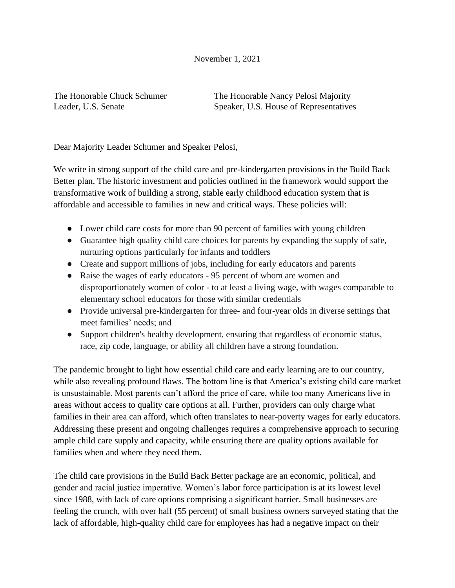## November 1, 2021

The Honorable Chuck Schumer The Honorable Nancy Pelosi Majority Leader, U.S. Senate Speaker, U.S. House of Representatives

Dear Majority Leader Schumer and Speaker Pelosi,

We write in strong support of the child care and pre-kindergarten provisions in the Build Back Better plan. The historic investment and policies outlined in the framework would support the transformative work of building a strong, stable early childhood education system that is affordable and accessible to families in new and critical ways. These policies will:

- Lower [c](https://twitter.com/hashtag/childcare?src=hashtag_click)hild care costs for more than 90 percent of families with young children
- Guarantee high quality child care choices for parents by expanding the supply of safe, nurturing options particularly for infants and toddlers
- Create and support millions of jobs, including for early educators and parents
- Raise the wages of early educators 95 percent of whom are women and disproportionately women of color - to at least a living wage, with wages comparable to elementary school educators for those with similar credentials
- Provide universal pre-kindergarten for three- and four-year olds in diverse settings that meet families' needs; and
- Support children's healthy development, ensuring that regardless of economic status, race, zip code, language, or ability all children have a strong foundation.

The pandemic brought to light how essential child care and early learning are to our country, while also revealing profound flaws. The bottom line is that America's existing child care market is unsustainable. Most parents can't afford the price of care, while too many Americans live in areas without access to quality care options at all. Further, providers can only charge what families in their area can afford, which often translates to near-poverty wages for early educators. Addressing these present and ongoing challenges requires a comprehensive approach to securing ample child care supply and capacity, while ensuring there are quality options available for families when and where they need them.

The child care provisions in the Build Back Better package are an economic, political, and gender and racial justice imperative. Women's labor force participation is at its lowest level since 1988, with lack of care options comprising a significant barrier. Small businesses are feeling the crunch, with over half (55 percent) of small business owners surveyed stating that the lack of affordable, high-quality child care for employees has had a negative impact on their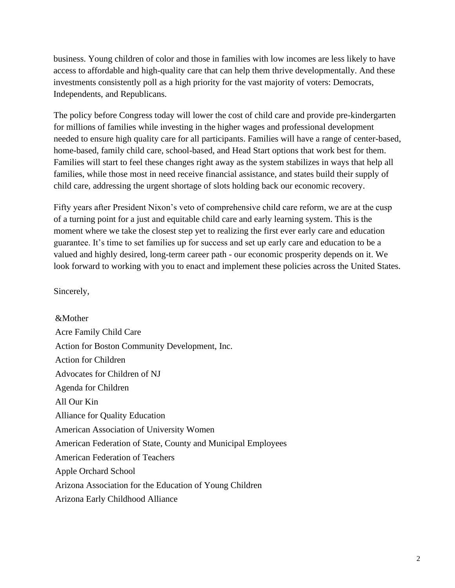business. Young children of color and those in families with low incomes are less likely to have access to affordable and high-quality care that can help them thrive developmentally. And these investments consistently poll as a high priority for the vast majority of voters: Democrats, Independents, and Republicans.

The policy before Congress today will lower the cost of child care and provide pre-kindergarten for millions of families while investing in the higher wages and professional development needed to ensure high quality care for all participants. Families will have a range of center-based, home-based, family child care, school-based, and Head Start options that work best for them. Families will start to feel these changes right away as the system stabilizes in ways that help all families, while those most in need receive financial assistance, and states build their supply of child care, addressing the urgent shortage of slots holding back our economic recovery.

Fifty years after President Nixon's veto of comprehensive child care reform, we are at the cusp of a turning point for a just and equitable child care and early learning system. This is the moment where we take the closest step yet to realizing the first ever early care and education guarantee. It's time to set families up for success and set up early care and education to be a valued and highly desired, long-term career path - our economic prosperity depends on it. We look forward to working with you to enact and implement these policies across the United States.

Sincerely,

&Mother Acre Family Child Care Action for Boston Community Development, Inc. Action for Children Advocates for Children of NJ Agenda for Children All Our Kin Alliance for Quality Education American Association of University Women American Federation of State, County and Municipal Employees American Federation of Teachers Apple Orchard School Arizona Association for the Education of Young Children Arizona Early Childhood Alliance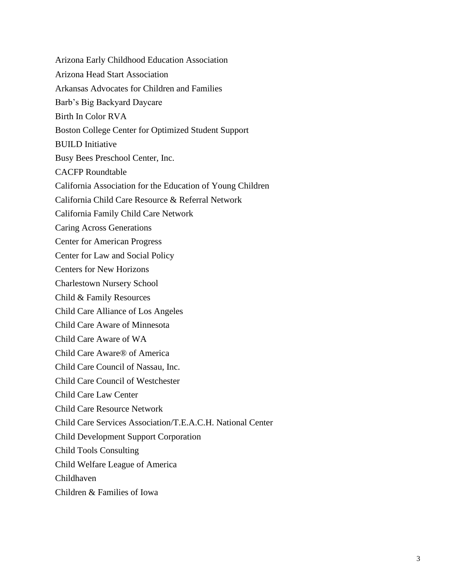Arizona Early Childhood Education Association Arizona Head Start Association Arkansas Advocates for Children and Families Barb's Big Backyard Daycare Birth In Color RVA Boston College Center for Optimized Student Support BUILD Initiative Busy Bees Preschool Center, Inc. CACFP Roundtable California Association for the Education of Young Children California Child Care Resource & Referral Network California Family Child Care Network Caring Across Generations Center for American Progress Center for Law and Social Policy Centers for New Horizons Charlestown Nursery School Child & Family Resources Child Care Alliance of Los Angeles Child Care Aware of Minnesota Child Care Aware of WA Child Care Aware® of America Child Care Council of Nassau, Inc. Child Care Council of Westchester Child Care Law Center Child Care Resource Network Child Care Services Association/T.E.A.C.H. National Center Child Development Support Corporation Child Tools Consulting Child Welfare League of America Childhaven Children & Families of Iowa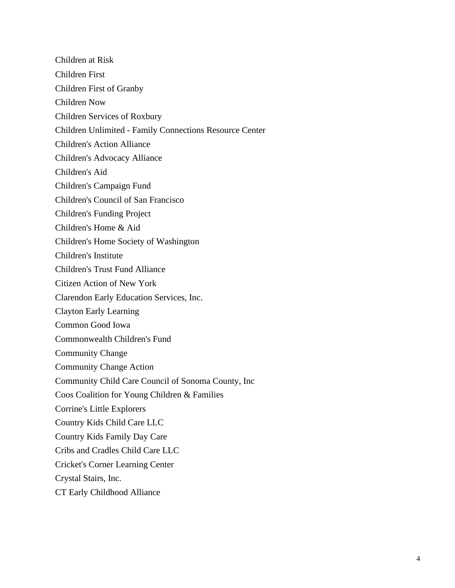Children at Risk Children First Children First of Granby Children Now Children Services of Roxbury Children Unlimited - Family Connections Resource Center Children's Action Alliance Children's Advocacy Alliance Children's Aid Children's Campaign Fund Children's Council of San Francisco Children's Funding Project Children's Home & Aid Children's Home Society of Washington Children's Institute Children's Trust Fund Alliance Citizen Action of New York Clarendon Early Education Services, Inc. Clayton Early Learning Common Good Iowa Commonwealth Children's Fund Community Change Community Change Action Community Child Care Council of Sonoma County, Inc Coos Coalition for Young Children & Families Corrine's Little Explorers Country Kids Child Care LLC Country Kids Family Day Care Cribs and Cradles Child Care LLC Cricket's Corner Learning Center Crystal Stairs, Inc. CT Early Childhood Alliance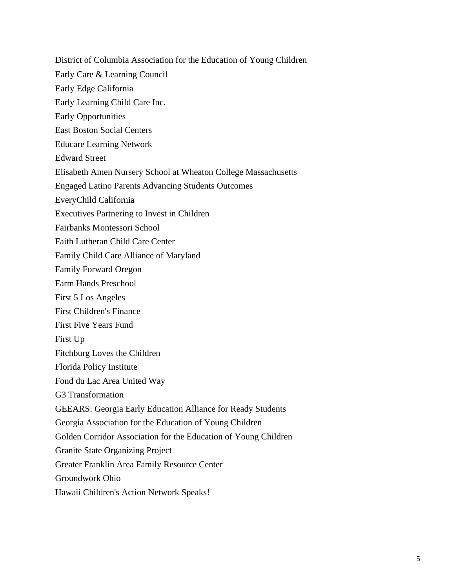District of Columbia Association for the Education of Young Children

- Early Care & Learning Council
- Early Edge California
- Early Learning Child Care Inc.
- Early Opportunities
- East Boston Social Centers
- Educare Learning Network
- Edward Street
- Elisabeth Amen Nursery School at Wheaton College Massachusetts
- Engaged Latino Parents Advancing Students Outcomes
- EveryChild California
- Executives Partnering to Invest in Children
- Fairbanks Montessori School
- Faith Lutheran Child Care Center
- Family Child Care Alliance of Maryland
- Family Forward Oregon
- Farm Hands Preschool
- First 5 Los Angeles
- First Children's Finance
- First Five Years Fund
- First Up
- Fitchburg Loves the Children
- Florida Policy Institute
- Fond du Lac Area United Way
- G3 Transformation
- GEEARS: Georgia Early Education Alliance for Ready Students
- Georgia Association for the Education of Young Children
- Golden Corridor Association for the Education of Young Children
- Granite State Organizing Project
- Greater Franklin Area Family Resource Center
- Groundwork Ohio
- Hawaii Children's Action Network Speaks!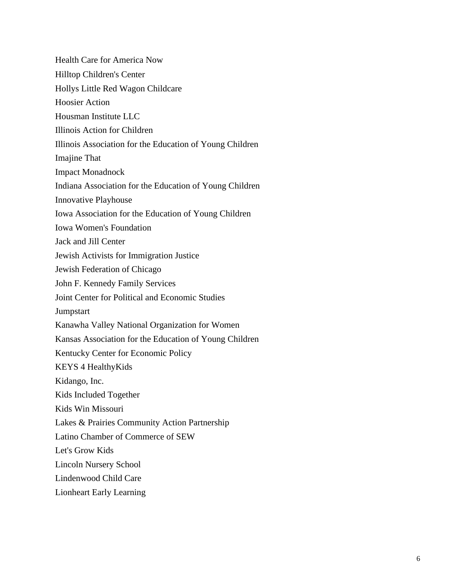Health Care for America Now Hilltop Children's Center Hollys Little Red Wagon Childcare Hoosier Action Housman Institute LLC Illinois Action for Children Illinois Association for the Education of Young Children Imajine That Impact Monadnock Indiana Association for the Education of Young Children Innovative Playhouse Iowa Association for the Education of Young Children Iowa Women's Foundation Jack and Jill Center Jewish Activists for Immigration Justice Jewish Federation of Chicago John F. Kennedy Family Services Joint Center for Political and Economic Studies **Jumpstart** Kanawha Valley National Organization for Women Kansas Association for the Education of Young Children Kentucky Center for Economic Policy KEYS 4 HealthyKids Kidango, Inc. Kids Included Together Kids Win Missouri Lakes & Prairies Community Action Partnership Latino Chamber of Commerce of SEW Let's Grow Kids Lincoln Nursery School Lindenwood Child Care Lionheart Early Learning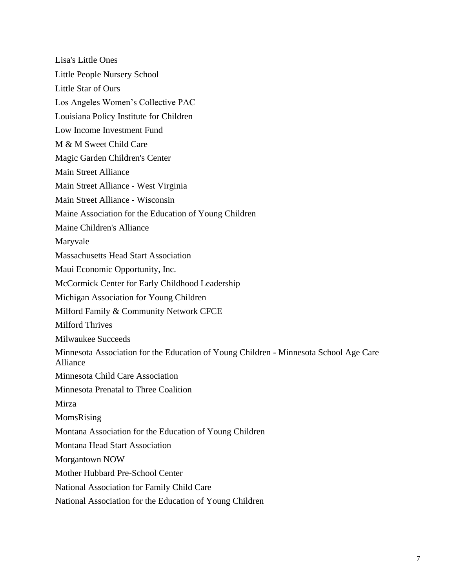Lisa's Little Ones Little People Nursery School Little Star of Ours Los Angeles Women's Collective PAC Louisiana Policy Institute for Children Low Income Investment Fund M & M Sweet Child Care Magic Garden Children's Center Main Street Alliance Main Street Alliance - West Virginia Main Street Alliance - Wisconsin Maine Association for the Education of Young Children Maine Children's Alliance Maryvale Massachusetts Head Start Association Maui Economic Opportunity, Inc. McCormick Center for Early Childhood Leadership Michigan Association for Young Children Milford Family & Community Network CFCE Milford Thrives Milwaukee Succeeds Minnesota Association for the Education of Young Children - Minnesota School Age Care Alliance Minnesota Child Care Association Minnesota Prenatal to Three Coalition Mirza MomsRising Montana Association for the Education of Young Children Montana Head Start Association Morgantown NOW Mother Hubbard Pre-School Center National Association for Family Child Care National Association for the Education of Young Children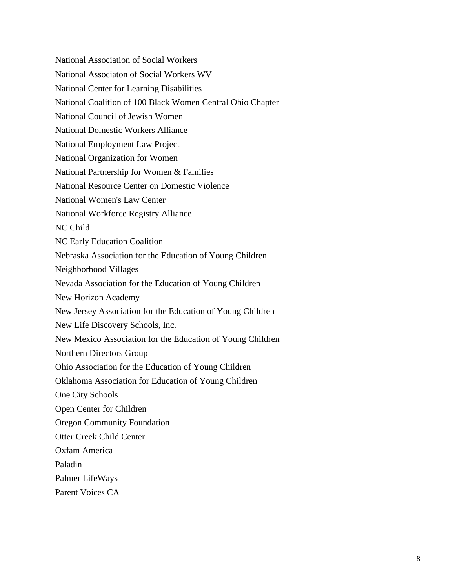National Association of Social Workers National Associaton of Social Workers WV National Center for Learning Disabilities National Coalition of 100 Black Women Central Ohio Chapter National Council of Jewish Women National Domestic Workers Alliance National Employment Law Project National Organization for Women National Partnership for Women & Families National Resource Center on Domestic Violence National Women's Law Center National Workforce Registry Alliance NC Child NC Early Education Coalition Nebraska Association for the Education of Young Children Neighborhood Villages Nevada Association for the Education of Young Children New Horizon Academy New Jersey Association for the Education of Young Children New Life Discovery Schools, Inc. New Mexico Association for the Education of Young Children Northern Directors Group Ohio Association for the Education of Young Children Oklahoma Association for Education of Young Children One City Schools Open Center for Children Oregon Community Foundation Otter Creek Child Center Oxfam America Paladin Palmer LifeWays Parent Voices CA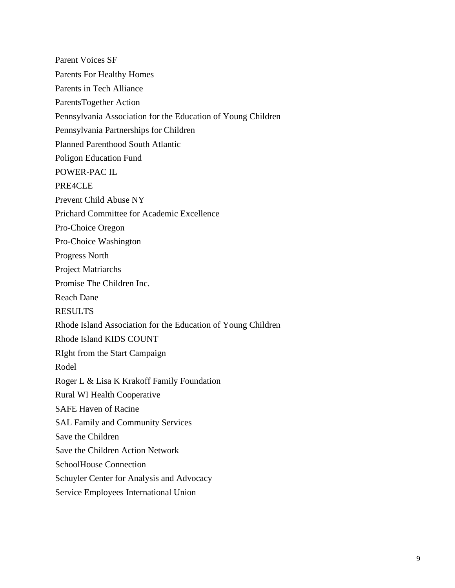Parent Voices SF Parents For Healthy Homes Parents in Tech Alliance ParentsTogether Action Pennsylvania Association for the Education of Young Children Pennsylvania Partnerships for Children Planned Parenthood South Atlantic Poligon Education Fund POWER-PAC IL PRE4CLE Prevent Child Abuse NY Prichard Committee for Academic Excellence Pro-Choice Oregon Pro-Choice Washington Progress North Project Matriarchs Promise The Children Inc. Reach Dane RESULTS Rhode Island Association for the Education of Young Children Rhode Island KIDS COUNT RIght from the Start Campaign Rodel Roger L & Lisa K Krakoff Family Foundation Rural WI Health Cooperative SAFE Haven of Racine SAL Family and Community Services Save the Children Save the Children Action Network SchoolHouse Connection Schuyler Center for Analysis and Advocacy Service Employees International Union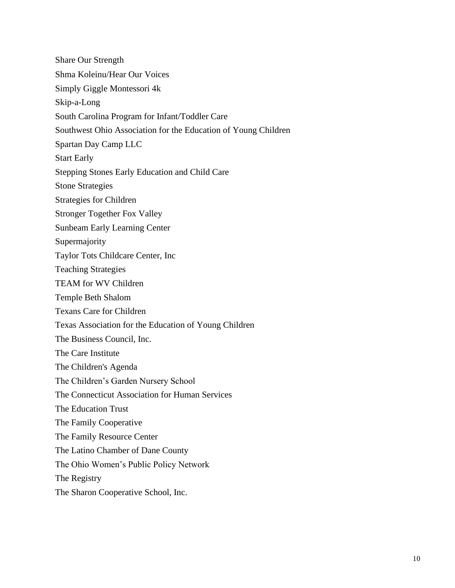Share Our Strength Shma Koleinu/Hear Our Voices Simply Giggle Montessori 4k Skip-a-Long South Carolina Program for Infant/Toddler Care Southwest Ohio Association for the Education of Young Children Spartan Day Camp LLC Start Early Stepping Stones Early Education and Child Care Stone Strategies Strategies for Children Stronger Together Fox Valley Sunbeam Early Learning Center Supermajority Taylor Tots Childcare Center, Inc Teaching Strategies TEAM for WV Children Temple Beth Shalom Texans Care for Children Texas Association for the Education of Young Children The Business Council, Inc. The Care Institute The Children's Agenda The Children's Garden Nursery School The Connecticut Association for Human Services The Education Trust The Family Cooperative The Family Resource Center The Latino Chamber of Dane County The Ohio Women's Public Policy Network The Registry The Sharon Cooperative School, Inc.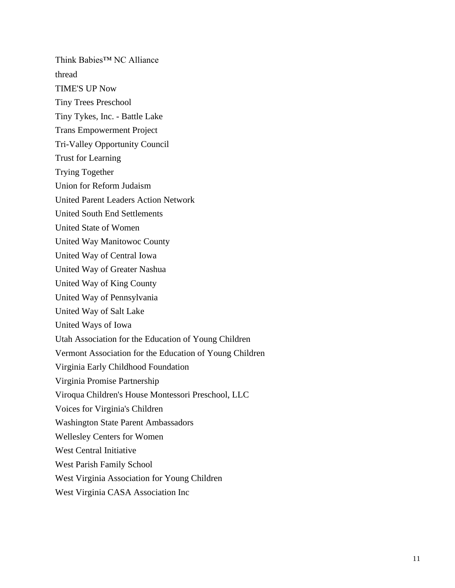Think Babies™ NC Alliance thread TIME'S UP Now Tiny Trees Preschool Tiny Tykes, Inc. - Battle Lake Trans Empowerment Project Tri-Valley Opportunity Council Trust for Learning Trying Together Union for Reform Judaism United Parent Leaders Action Network United South End Settlements United State of Women United Way Manitowoc County United Way of Central Iowa United Way of Greater Nashua United Way of King County United Way of Pennsylvania United Way of Salt Lake United Ways of Iowa Utah Association for the Education of Young Children Vermont Association for the Education of Young Children Virginia Early Childhood Foundation Virginia Promise Partnership Viroqua Children's House Montessori Preschool, LLC Voices for Virginia's Children Washington State Parent Ambassadors Wellesley Centers for Women West Central Initiative West Parish Family School West Virginia Association for Young Children

West Virginia CASA Association Inc